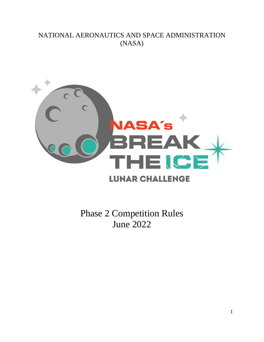# NATIONAL AERONAUTICS AND SPACE ADMINISTRATION (NASA)



Phase 2 Competition Rules June 2022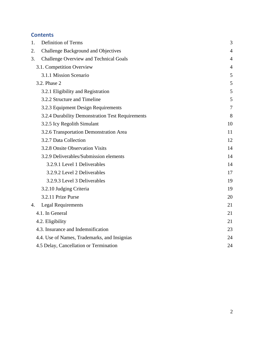# **Contents**

| 1. | <b>Definition of Terms</b>                       | 3              |
|----|--------------------------------------------------|----------------|
| 2. | Challenge Background and Objectives              | $\overline{4}$ |
| 3. | <b>Challenge Overview and Technical Goals</b>    | $\overline{4}$ |
|    | 3.1. Competition Overview                        | $\overline{4}$ |
|    | 3.1.1 Mission Scenario                           | 5              |
|    | 3.2. Phase 2                                     | 5              |
|    | 3.2.1 Eligibility and Registration               | 5              |
|    | 3.2.2 Structure and Timeline                     | 5              |
|    | 3.2.3 Equipment Design Requirements              | $\overline{7}$ |
|    | 3.2.4 Durability Demonstration Test Requirements | 8              |
|    | 3.2.5 Icy Regolith Simulant                      | 10             |
|    | 3.2.6 Transportation Demonstration Area          | 11             |
|    | 3.2.7 Data Collection                            | 12             |
|    | 3.2.8 Onsite Observation Visits                  | 14             |
|    | 3.2.9 Deliverables/Submission elements           | 14             |
|    | 3.2.9.1 Level 1 Deliverables                     | 14             |
|    | 3.2.9.2 Level 2 Deliverables                     | 17             |
|    | 3.2.9.3 Level 3 Deliverables                     | 19             |
|    | 3.2.10 Judging Criteria                          | 19             |
|    | 3.2.11 Prize Purse                               | 20             |
| 4. | <b>Legal Requirements</b>                        | 21             |
|    | 4.1. In General                                  | 21             |
|    | 4.2. Eligibility                                 | 21             |
|    | 4.3. Insurance and Indemnification               | 23             |
|    | 4.4. Use of Names, Trademarks, and Insignias     | 24             |
|    | 4.5 Delay, Cancellation or Termination           | 24             |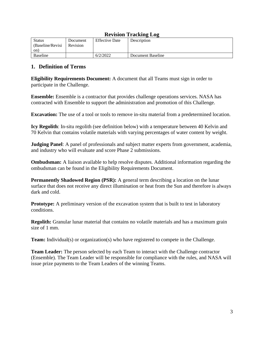| <i>Revision fracture free</i> |          |                       |                   |
|-------------------------------|----------|-----------------------|-------------------|
| <b>Status</b>                 | Document | <b>Effective Date</b> | Description       |
| (Baseline/Revisi)             | Revision |                       |                   |
| on)                           |          |                       |                   |
| <b>Baseline</b>               |          | 6/2/2022              | Document Baseline |

# **Revision Tracking Log**

# <span id="page-2-0"></span>**1. Definition of Terms**

**Eligibility Requirements Document:** A document that all Teams must sign in order to participate in the Challenge.

**Ensemble:** Ensemble is a contractor that provides challenge operations services. NASA has contracted with Ensemble to support the administration and promotion of this Challenge.

**Excavation:** The use of a tool or tools to remove in-situ material from a predetermined location.

**Icy Regolith**: In-situ regolith (see definition below) with a temperature between 40 Kelvin and 70 Kelvin that contains volatile materials with varying percentages of water content by weight.

**Judging Panel**: A panel of professionals and subject matter experts from government, academia, and industry who will evaluate and score Phase 2 submissions.

**Ombudsman:** A liaison available to help resolve disputes. Additional information regarding the ombudsman can be found in the Eligibility Requirements Document.

**Permanently Shadowed Region (PSR):** A general term describing a location on the lunar surface that does not receive any direct illumination or heat from the Sun and therefore is always dark and cold.

**Prototype:** A preliminary version of the excavation system that is built to test in laboratory conditions.

**Regolith:** Granular lunar material that contains no volatile materials and has a maximum grain size of 1 mm.

**Team:** Individual(s) or organization(s) who have registered to compete in the Challenge.

**Team Leader:** The person selected by each Team to interact with the Challenge contractor (Ensemble). The Team Leader will be responsible for compliance with the rules, and NASA will issue prize payments to the Team Leaders of the winning Teams.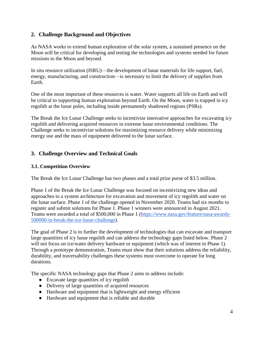# <span id="page-3-0"></span>**2. Challenge Background and Objectives**

As NASA works to extend human exploration of the solar system, a sustained presence on the Moon will be critical for developing and testing the technologies and systems needed for future missions to the Moon and beyond.

In situ resource utilization (ISRU)—the development of lunar materials for life support, fuel, energy, manufacturing, and construction—is necessary to limit the delivery of supplies from Earth.

One of the most important of these resources is water. Water supports all life on Earth and will be critical to supporting human exploration beyond Earth. On the Moon, water is trapped in icy regolith at the lunar poles, including inside permanently shadowed regions (PSRs).

The Break the Ice Lunar Challenge seeks to incentivize innovative approaches for excavating icy regolith and delivering acquired resources in extreme lunar environmental conditions. The Challenge seeks to incentivize solutions for maximizing resource delivery while minimizing energy use and the mass of equipment delivered to the lunar surface.

# <span id="page-3-1"></span>**3. Challenge Overview and Technical Goals**

#### <span id="page-3-2"></span>**3.1. Competition Overview**

The Break the Ice Lunar Challenge has two phases and a total prize purse of \$3.5 million.

Phase 1 of the Break the Ice Lunar Challenge was focused on incentivizing new ideas and approaches to a system architecture for excavation and movement of icy regolith and water on the lunar surface. Phase 1 of the challenge opened in November 2020. Teams had six months to register and submit solutions for Phase 1. Phase 1 winners were announced in August 2021. Teams were awarded a total of \$500,000 in Phase 1 [\(https://www.nasa.gov/feature/nasa-awards-](https://www.nasa.gov/feature/nasa-awards-500000-in-break-the-ice-lunar-challenge)[500000-in-break-the-ice-lunar-challenge\)](https://www.nasa.gov/feature/nasa-awards-500000-in-break-the-ice-lunar-challenge).

The goal of Phase 2 is to further the development of technologies that can excavate and transport large quantities of icy lunar regolith and can address the technology gaps listed below. Phase 2 will not focus on ice/water delivery hardware or equipment (which was of interest in Phase 1). Through a prototype demonstration, Teams must show that their solutions address the reliability, durability, and traversability challenges these systems must overcome to operate for long durations.

The specific NASA technology gaps that Phase 2 aims to address include:

- Excavate large quantities of icy regolith
- Delivery of large quantities of acquired resources
- Hardware and equipment that is lightweight and energy efficient
- Hardware and equipment that is reliable and durable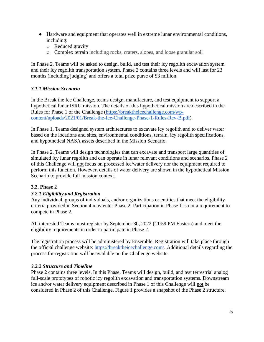- Hardware and equipment that operates well in extreme lunar environmental conditions, including:
	- o Reduced gravity
	- o Complex terrain including rocks, craters, slopes, and loose granular soil

In Phase 2, Teams will be asked to design, build, and test their icy regolith excavation system and their icy regolith transportation system. Phase 2 contains three levels and will last for 23 months (including judging) and offers a total prize purse of \$3 million.

#### <span id="page-4-0"></span>*3.1.1 Mission Scenario*

In the Break the Ice Challenge, teams design, manufacture, and test equipment to support a hypothetical lunar ISRU mission. The details of this hypothetical mission are described in the Rules for Phase 1 of the Challenge [\(https://breaktheicechallenge.com/wp](https://breaktheicechallenge.com/wp-content/uploads/2021/01/Break-the-Ice-Challenge-Phase-1-Rules-Rev-B.pdf)[content/uploads/2021/01/Break-the-Ice-Challenge-Phase-1-Rules-Rev-B.pdf\)](https://breaktheicechallenge.com/wp-content/uploads/2021/01/Break-the-Ice-Challenge-Phase-1-Rules-Rev-B.pdf).

In Phase 1, Teams designed system architectures to excavate icy regolith and to deliver water based on the locations and sites, environmental conditions, terrain, icy regolith specifications, and hypothetical NASA assets described in the Mission Scenario.

In Phase 2, Teams will design technologies that can excavate and transport large quantities of simulated icy lunar regolith and can operate in lunar relevant conditions and scenarios. Phase 2 of this Challenge will not focus on processed ice/water delivery nor the equipment required to perform this function. However, details of water delivery are shown in the hypothetical Mission Scenario to provide full mission context.

#### <span id="page-4-1"></span>**3.2. Phase 2**

#### <span id="page-4-2"></span>*3.2.1 Eligibility and Registration*

Any individual, groups of individuals, and/or organizations or entities that meet the eligibility criteria provided in Section 4 may enter Phase 2. Participation in Phase 1 is not a requirement to compete in Phase 2.

All interested Teams must register by September 30, 2022 (11:59 PM Eastern) and meet the eligibility requirements in order to participate in Phase 2.

The registration process will be administered by Ensemble. Registration will take place through the official challenge website: [https://breaktheicechallenge.com/.](https://breaktheicechallenge.com/) Additional details regarding the process for registration will be available on the Challenge website.

#### <span id="page-4-3"></span>*3.2.2 Structure and Timeline*

Phase 2 contains three levels. In this Phase, Teams will design, build, and test terrestrial analog full-scale prototypes of robotic icy regolith excavation and transportation systems. Downstream ice and/or water delivery equipment described in Phase 1 of this Challenge will not be considered in Phase 2 of this Challenge. Figure 1 provides a snapshot of the Phase 2 structure.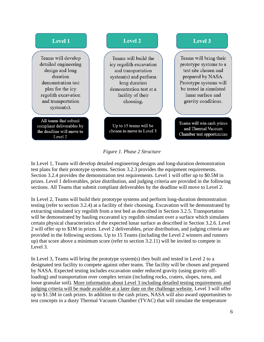

#### *Figure 1. Phase 2 Structure*

In Level 1, Teams will develop detailed engineering designs and long-duration demonstration test plans for their prototype systems. Section 3.2.3 provides the equipment requirements. Section 3.2.4 provides the demonstration test requirements. Level 1 will offer up to \$0.5M in prizes. Level 1 deliverables, prize distribution, and judging criteria are provided in the following sections. All Teams that submit compliant deliverables by the deadline will move to Level 2.

In Level 2, Teams will build their prototype systems and perform long-duration demonstration testing (refer to section 3.2.4) at a facility of their choosing. Excavation will be demonstrated by extracting simulated icy regolith from a test bed as described in Section 3.2.5. Transportation will be demonstrated by hauling excavated icy regolith simulant over a surface which simulates certain physical characteristics of the expected lunar surface as described in Section 3.2.6. Level 2 will offer up to \$1M in prizes. Level 2 deliverables, prize distribution, and judging criteria are provided in the following sections. Up to 15 Teams (including the Level 2 winners and runners up) that score above a minimum score (refer to section 3.2.11) will be invited to compete in Level 3.

In Level 3, Teams will bring the prototype system(s) they built and tested in Level 2 to a designated test facility to compete against other teams. The facility will be chosen and prepared by NASA. Expected testing includes excavation under reduced gravity (using gravity offloading) and transportation over complex terrain (including rocks, craters, slopes, turns, and loose granular soil). More information about Level 3 including detailed testing requirements and judging criteria will be made available at a later date on the challenge website. Level 3 will offer up to \$1.5M in cash prizes. In addition to the cash prizes, NASA will also award opportunities to test concepts in a dusty Thermal Vacuum Chamber (TVAC) that will simulate the temperature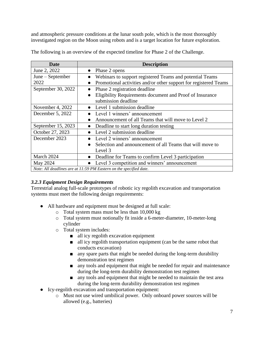and atmospheric pressure conditions at the lunar south pole, which is the most thoroughly investigated region on the Moon using robots and is a target location for future exploration.

| Date                                                               | <b>Description</b>                                                    |  |
|--------------------------------------------------------------------|-----------------------------------------------------------------------|--|
| June 2, 2022                                                       | Phase 2 opens<br>$\bullet$                                            |  |
| June – September                                                   | Webinars to support registered Teams and potential Teams              |  |
| 2022                                                               | Promotional activities and/or other support for registered Teams      |  |
| September 30, 2022                                                 | Phase 2 registration deadline<br>$\bullet$                            |  |
|                                                                    | Eligibility Requirements document and Proof of Insurance<br>$\bullet$ |  |
|                                                                    | submission deadline                                                   |  |
| November 4, 2022                                                   | Level 1 submission deadline                                           |  |
| December 5, 2022                                                   | Level 1 winners' announcement                                         |  |
|                                                                    | Announcement of all Teams that will move to Level 2<br>$\bullet$      |  |
| September 15, 2023                                                 | Deadline to start long duration testing<br>$\bullet$                  |  |
| October 27, 2023                                                   | Level 2 submission deadline                                           |  |
| December 2023                                                      | Level 2 winners' announcement                                         |  |
|                                                                    | Selection and announcement of all Teams that will move to             |  |
|                                                                    | Level 3                                                               |  |
| March 2024                                                         | Deadline for Teams to confirm Level 3 participation                   |  |
| May 2024                                                           | Level 3 competition and winners' announcement                         |  |
| Note: All deadlines are at 11:59 PM Eastern on the specified date. |                                                                       |  |

The following is an overview of the expected timeline for Phase 2 of the Challenge.

# <span id="page-6-0"></span>*3.2.3 Equipment Design Requirements*

Terrestrial analog full-scale prototypes of robotic icy regolith excavation and transportation systems must meet the following design requirements:

- All hardware and equipment must be designed at full scale:
	- o Total system mass must be less than 10,000 kg
	- o Total system must notionally fit inside a 6-meter-diameter, 10-meter-long cylinder
	- o Total system includes:
		- all icy regolith excavation equipment
		- all icy regolith transportation equipment (can be the same robot that conducts excavation)
		- any spare parts that might be needed during the long-term durability demonstration test regimen
		- any tools and equipment that might be needed for repair and maintenance during the long-term durability demonstration test regimen
		- any tools and equipment that might be needed to maintain the test area during the long-term durability demonstration test regimen
- Icy-regolith excavation and transportation equipment:
	- o Must not use wired umbilical power. Only onboard power sources will be allowed (e.g., batteries)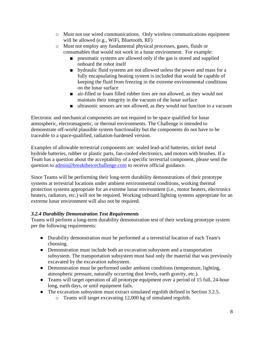- o Must not use wired communications. Only wireless communications equipment will be allowed (e.g., WiFi, Bluetooth, RF)
- o Must not employ any fundamental physical processes, gases, fluids or consumables that would not work in a lunar environment. For example:
	- pneumatic systems are allowed only if the gas is stored and supplied onboard the robot itself
	- hydraulic fluid systems are not allowed unless the power and mass for a fully encapsulating heating system is included that would be capable of keeping the fluid from freezing in the extreme environmental conditions on the lunar surface
	- air-filled or foam filled rubber tires are not allowed, as they would not maintain their integrity in the vacuum of the lunar surface
	- ultrasonic sensors are not allowed, as they would not function in a vacuum

Electronic and mechanical components are not required to be space qualified for lunar atmospheric, electromagnetic, or thermal environments. The Challenge is intended to demonstrate off-world plausible system functionality but the components do not have to be traceable to a space-qualified, radiation-hardened version.

Examples of allowable terrestrial components are: sealed lead-acid batteries, nickel metal hydride batteries, rubber or plastic parts, fan-cooled electronics, and motors with brushes. If a Team has a question about the acceptability of a specific terrestrial component, please send the question to [admin@breaktheicechallenge.com](mailto:admin@breaktheicechallenge.com) to receive official guidance.

Since Teams will be performing their long-term durability demonstrations of their prototype systems at terrestrial locations under ambient environmental conditions, working thermal protection systems appropriate for an extreme lunar environment (i.e., motor heaters, electronics heaters, radiators, etc.) will not be required. Working onboard lighting systems appropriate for an extreme lunar environment will also not be required.

#### <span id="page-7-0"></span>*3.2.4 Durability Demonstration Test Requirements*

Teams will perform a long-term durability demonstration test of their working prototype system per the following requirements:

- Durability demonstration must be performed at a terrestrial location of each Team's choosing.
- Demonstration must include both an excavation subsystem and a transportation subsystem. The transportation subsystem must haul only the material that was previously excavated by the excavation subsystem.
- Demonstration must be performed under ambient conditions (temperature, lighting, atmospheric pressure, naturally occurring dust levels, earth gravity, etc.).
- Teams will target operation of all prototype equipment over a period of 15 full, 24-hour long, earth days, or until equipment fails.
- The excavation subsystem must extract simulated regolith defined in Section 3.2.5.
	- o Teams will target excavating 12,000 kg of simulated regolith.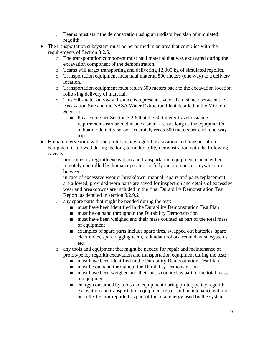- o Teams must start the demonstration using an undisturbed slab of simulated regolith.
- The transportation subsystem must be performed in an area that complies with the requirements of Section 3.2.6.
	- o The transportation component must haul material that was excavated during the excavation component of the demonstration.
	- o Teams will target transporting and delivering 12,000 kg of simulated regolith.
	- o Transportation equipment must haul material 500 meters (one way) to a delivery location.
	- o Transportation equipment must return 500 meters back to the excavation location following delivery of material.
	- o This 500-meter one-way distance is representative of the distance between the Excavation Site and the NASA Water Extraction Plant detailed in the Mission Scenario.
		- Please note per Section 3.2.6 that the 500-meter travel distance requirements can be met inside a small area as long as the equipment's onboard odometry sensor accurately reads 500 meters per each one-way trip.
- Human intervention with the prototype icy regolith excavation and transportation equipment is allowed during the long-term durability demonstration with the following caveats:
	- o prototype icy regolith excavation and transportation equipment can be either remotely controlled by human operators or fully autonomous or anywhere inbetween
	- o in case of excessive wear or breakdown, manual repairs and parts replacement are allowed, provided worn parts are saved for inspection and details of excessive wear and breakdowns are included in the final Durability Demonstration Test Report, as detailed in section 3.2.9.2
	- o any spare parts that might be needed during the test:
		- must have been identified in the Durability Demonstration Test Plan
		- must be on hand throughout the Durability Demonstration
		- must have been weighed and their mass counted as part of the total mass of equipment
		- examples of spare parts include spare tires, swapped out batteries, spare electronics, spare digging teeth, redundant robots, redundant subsystems, etc.
	- o any tools and equipment that might be needed for repair and maintenance of prototype icy regolith excavation and transportation equipment during the test:
		- must have been identified in the Durability Demonstration Test Plan
		- must be on hand throughout the Durability Demonstration
		- must have been weighed and their mass counted as part of the total mass of equipment
		- energy consumed by tools and equipment during prototype icy regolith excavation and transportation equipment repair and maintenance will not be collected nor reported as part of the total energy used by the system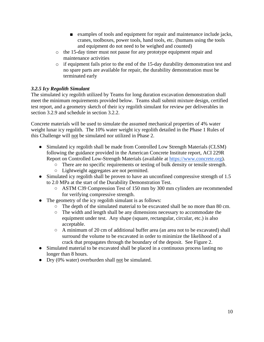- examples of tools and equipment for repair and maintenance include jacks, cranes, toolboxes, power tools, hand tools, etc. (humans using the tools and equipment do not need to be weighed and counted)
- o the 15-day timer must not pause for any prototype equipment repair and maintenance activities
- o if equipment fails prior to the end of the 15-day durability demonstration test and no spare parts are available for repair, the durability demonstration must be terminated early

# <span id="page-9-0"></span>*3.2.5 Icy Regolith Simulant*

The simulated icy regolith utilized by Teams for long duration excavation demonstration shall meet the minimum requirements provided below. Teams shall submit mixture design, certified test report, and a geometry sketch of their icy regolith simulant for review per deliverables in section 3.2.9 and schedule in section 3.2.2.

Concrete materials will be used to simulate the assumed mechanical properties of 4% water weight lunar icy regolith. The 10% water weight icy regolith detailed in the Phase 1 Rules of this Challenge will not be simulated nor utilized in Phase 2.

- Simulated icy regolith shall be made from Controlled Low Strength Materials (CLSM) following the guidance provided in the American Concrete Institute report, ACI 229R Report on Controlled Low-Strength Materials (available at [https://www.concrete.org\)](https://www.concrete.org/).
	- There are no specific requirements or testing of bulk density or tensile strength.
	- Lightweight aggregates are not permitted.
- Simulated icy regolith shall be proven to have an unconfined compressive strength of 1.5 to 2.0 MPa at the start of the Durability Demonstration Test.
	- ASTM C39 Compression Test of 150 mm by 300 mm cylinders are recommended for verifying compressive strength.
- The geometry of the icy regolith simulant is as follows:
	- The depth of the simulated material to be excavated shall be no more than 80 cm.
	- The width and length shall be any dimensions necessary to accommodate the equipment under test. Any shape (square, rectangular, circular, etc.) is also acceptable.
	- A minimum of 20 cm of additional buffer area (an area not to be excavated) shall surround the volume to be excavated in order to minimize the likelihood of a crack that propagates through the boundary of the deposit. See Figure 2.
- Simulated material to be excavated shall be placed in a continuous process lasting no longer than 8 hours.
- Dry (0% water) overburden shall <u>not</u> be simulated.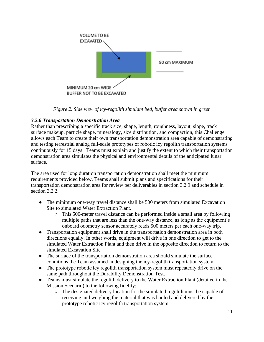

*Figure 2. Side view of icy-regolith simulant bed, buffer area shown in green*

# <span id="page-10-0"></span>*3.2.6 Transportation Demonstration Area*

Rather than prescribing a specific track size, shape, length, roughness, layout, slope, track surface makeup, particle shape, mineralogy, size distribution, and compaction, this Challenge allows each Team to create their own transportation demonstration area capable of demonstrating and testing terrestrial analog full-scale prototypes of robotic icy regolith transportation systems continuously for 15 days. Teams must explain and justify the extent to which their transportation demonstration area simulates the physical and environmental details of the anticipated lunar surface.

The area used for long duration transportation demonstration shall meet the minimum requirements provided below. Teams shall submit plans and specifications for their transportation demonstration area for review per deliverables in section 3.2.9 and schedule in section 3.2.2.

- The minimum one-way travel distance shall be 500 meters from simulated Excavation Site to simulated Water Extraction Plant.
	- This 500-meter travel distance can be performed inside a small area by following multiple paths that are less than the one-way distance, as long as the equipment's onboard odometry sensor accurately reads 500 meters per each one-way trip.
- Transportation equipment shall drive in the transportation demonstration area in both directions equally. In other words, equipment will drive in one direction to get to the simulated Water Extraction Plant and then drive in the opposite direction to return to the simulated Excavation Site
- The surface of the transportation demonstration area should simulate the surface conditions the Team assumed in designing the icy-regolith transportation system.
- The prototype robotic icy regolith transportation system must repeatedly drive on the same path throughout the Durability Demonstration Test.
- Teams must simulate the regolith delivery to the Water Extraction Plant (detailed in the Mission Scenario) to the following fidelity:
	- The designated delivery location for the simulated regolith must be capable of receiving and weighing the material that was hauled and delivered by the prototype robotic icy regolith transportation system.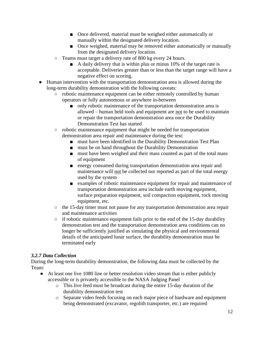- Once delivered, material must be weighed either automatically or manually within the designated delivery location.
- Once weighed, material may be removed either automatically or manually from the designated delivery location.
- Teams must target a delivery rate of 800 kg every 24 hours.
	- A daily delivery that is within plus or minus 10% of the target rate is acceptable. Deliveries greater than or less than the target range will have a negative effect on scoring.
- Human intervention with the transportation demonstration area is allowed during the long-term durability demonstration with the following caveats:
	- robotic maintenance equipment can be either remotely controlled by human operators or fully autonomous or anywhere in-between
		- only robotic maintenance of the transportation demonstration area is allowed – human held tools and equipment are not to be used to maintain or repair the transportation demonstration area once the Durability Demonstration Test has started
	- robotic maintenance equipment that might be needed for transportation demonstration area repair and maintenance during the test:
		- must have been identified in the Durability Demonstration Test Plan
		- must be on hand throughout the Durability Demonstration
		- must have been weighed and their mass counted as part of the total mass of equipment
		- energy consumed during transportation demonstration area repair and maintenance will not be collected nor reported as part of the total energy used by the system
		- examples of robotic maintenance equipment for repair and maintenance of transportation demonstration area include earth moving equipment, surface preparation equipment, soil compaction equipment, rock moving equipment, etc.
	- the 15-day timer must not pause for any transportation demonstration area repair and maintenance activities
	- if robotic maintenance equipment fails prior to the end of the 15-day durability demonstration test and the transportation demonstration area conditions can no longer be sufficiently justified as simulating the physical and environmental details of the anticipated lunar surface, the durability demonstration must be terminated early

#### <span id="page-11-0"></span>*3.2.7 Data Collection*

During the long-term durability demonstration, the following data must be collected by the Team:

- At least one live 1080 line or better resolution video stream that is either publicly accessible or is privately accessible to the NASA Judging Panel
	- o This live feed must be broadcast during the entire 15-day duration of the durability demonstration test
	- o Separate video feeds focusing on each major piece of hardware and equipment being demonstrated (excavator, regolith transporter, etc.) are required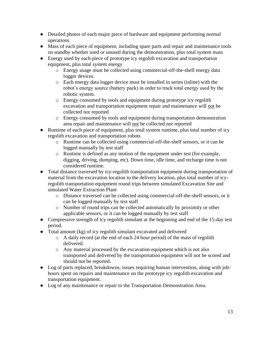- Detailed photos of each major piece of hardware and equipment performing normal operations
- Mass of each piece of equipment, including spare parts and repair and maintenance tools on standby whether used or unused during the demonstration, plus total system mass
- Energy used by each piece of prototype icy regolith excavation and transportation equipment, plus total system energy
	- o Energy usage must be collected using commercial-off-the-shelf energy data logger devices.
	- o Each energy data logger device must be installed in series (inline) with the robot's energy source (battery pack) in order to track total energy used by the robotic system.
	- o Energy consumed by tools and equipment during prototype icy regolith excavation and transportation equipment repair and maintenance will not be collected nor reported
	- o Energy consumed by tools and equipment during transportation demonstration area repair and maintenance will not be collected nor reported
- Runtime of each piece of equipment, plus total system runtime, plus total number of icy regolith excavation and transportation robots
	- o Runtime can be collected using commercial-off-the-shelf sensors, or it can be logged manually by test staff
	- o Runtime is defined as any motion of the equipment under test (for example, digging, driving, dumping, etc). Down time, idle time, and recharge time is not considered runtime.
- Total distance traversed by icy-regolith transportation equipment during transportation of material from the excavation location to the delivery location, plus total number of icyregolith transportation equipment round trips between simulated Excavation Site and simulated Water Extraction Plant
	- o Distance traversed can be collected using commercial-off-the-shelf sensors, or it can be logged manually by test staff
	- o Number of round trips can be collected automatically by proximity or other applicable sensors, or it can be logged manually by test staff
- Compressive strength of icy regolith simulant at the beginning and end of the 15-day test period.
- Total amount (kg) of icy regolith simulant excavated and delivered
	- o A daily record (at the end of each 24 hour period) of the mass of regolith delivered.
	- o Any material processed by the excavation equipment which is not also transported and delivered by the transportation equipment will not be scored and should not be reported.
- Log of parts replaced, breakdowns, issues requiring human intervention, along with jobhours spent on repairs and maintenance on the prototype icy regolith excavation and transportation equipment.
- Log of any maintenance or repair to the Transportation Demonstration Area.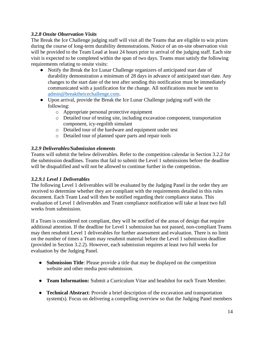#### <span id="page-13-0"></span>*3.2.8 Onsite Observation Visits*

The Break the Ice Challenge judging staff will visit all the Teams that are eligible to win prizes during the course of long-term durability demonstrations. Notice of an on-site observation visit will be provided to the Team Lead at least 24 hours prior to arrival of the judging staff. Each site visit is expected to be completed within the span of two days. Teams must satisfy the following requirements relating to onsite visits:

- Notify the Break the Ice Lunar Challenge organizers of anticipated start date of durability demonstration a minimum of 28 days in advance of anticipated start date. Any changes to the start date of the test after sending this notification must be immediately communicated with a justification for the change. All notifications must be sent to [admin@breaktheicechallenge.com.](mailto:admin@breaktheicechallenge.com)
- Upon arrival, provide the Break the Ice Lunar Challenge judging staff with the following:
	- o Appropriate personal protective equipment
	- o Detailed tour of testing site, including excavation component, transportation component, icy-regolith simulant
	- o Detailed tour of the hardware and equipment under test
	- o Detailed tour of planned spare parts and repair tools

#### <span id="page-13-1"></span>*3.2.9 Deliverables/Submission elements*

Teams will submit the below deliverables. Refer to the competition calendar in Section 3.2.2 for the submission deadlines. Teams that fail to submit the Level 1 submissions before the deadline will be disqualified and will not be allowed to continue further in the competition.

#### <span id="page-13-2"></span>*3.2.9.1 Level 1 Deliverables*

The following Level 1 deliverables will be evaluated by the Judging Panel in the order they are received to determine whether they are compliant with the requirements detailed in this rules document. Each Team Lead will then be notified regarding their compliance status. This evaluation of Level 1 deliverables and Team compliance notification will take at least two full weeks from submission.

If a Team is considered not compliant, they will be notified of the areas of design that require additional attention. If the deadline for Level 1 submission has not passed, non-compliant Teams may then resubmit Level 1 deliverables for further assessment and evaluation. There is no limit on the number of times a Team may resubmit material before the Level 1 submission deadline (provided in Section 3.2.2). However, each submission requires at least two full weeks for evaluation by the Judging Panel.

- **Submission Title**: Please provide a title that may be displayed on the competition website and other media post-submission.
- **Team Information:** Submit a Curriculum Vitae and headshot for each Team Member.
- **Technical Abstract**: Provide a brief description of the excavation and transportation system(s). Focus on delivering a compelling overview so that the Judging Panel members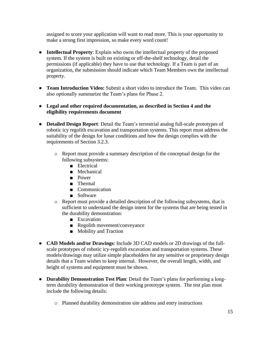assigned to score your application will want to read more. This is your opportunity to make a strong first impression, so make every word count!

- **Intellectual Property**: Explain who owns the intellectual property of the proposed system. If the system is built on existing or off-the-shelf technology, detail the permissions (if applicable) they have to use that technology. If a Team is part of an organization, the submission should indicate which Team Members own the intellectual property.
- **Team Introduction Video:** Submit a short video to introduce the Team. This video can also optionally summarize the Team's plans for Phase 2.
- **Legal and other required documentation, as described in Section 4 and the eligibility requirements document**
- **Detailed Design Report**: Detail the Team's terrestrial analog full-scale prototypes of robotic icy regolith excavation and transportation systems. This report must address the suitability of the design for lunar conditions and how the design complies with the requirements of Section 3.2.3.
	- o Report must provide a summary description of the conceptual design for the following subsystems:
		- Electrical
		- Mechanical
		- Power
		- Thermal
		- Communication
		- Software
	- o Report must provide a detailed description of the following subsystems, that is sufficient to understand the design intent for the systems that are being tested in the durability demonstration:
		- Excavation
		- Regolith movement/conveyance
		- Mobility and Traction
- **CAD Models and/or Drawings**: Include 3D CAD models or 2D drawings of the fullscale prototypes of robotic icy-regolith excavation and transportation systems. These models/drawings may utilize simple placeholders for any sensitive or proprietary design details that a Team wishes to keep internal. However, the overall length, width, and height of systems and equipment must be shown.
- **Durability Demonstration Test Plan**: Detail the Team's plans for performing a longterm durability demonstration of their working prototype system. The test plan must include the following details:
	- o Planned durability demonstration site address and entry instructions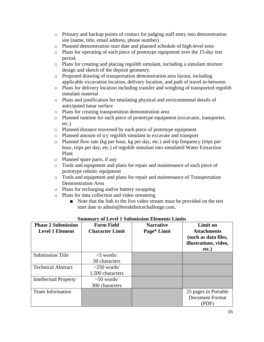- o Primary and backup points of contact for judging staff entry into demonstration site (name, title, email address, phone number)
- o Planned demonstration start date and planned schedule of high-level tests
- o Plans for operating of each piece of prototype equipment over the 15-day test period.
- o Plans for creating and placing regolith simulant, including a simulant mixture design and sketch of the deposit geometry.
- o Proposed drawing of transportation demonstration area layout, including applicable excavation location, delivery location, and path of travel in-between
- o Plans for delivery location including transfer and weighing of transported regolith simulant material
- o Plans and justification for emulating physical and environmental details of anticipated lunar surface
- o Plans for creating transportation demonstration area
- o Planned runtime for each piece of prototype equipment (excavator, transporter, etc.)
- o Planned distance traversed by each piece of prototype equipment
- o Planned amount of icy regolith simulant to excavate and transport
- o Planned flow rate (kg per hour, kg per day, etc.) and trip frequency (trips per hour, trips per day, etc.) of regolith simulant into simulated Water Extraction Plant
- o Planned spare parts, if any
- o Tools and equipment and plans for repair and maintenance of each piece of prototype robotic equipment
- o Tools and equipment and plans for repair and maintenance of Transportation Demonstration Area
- o Plans for recharging and/or battery swapping
- o Plans for data collection and video streaming
	- Note that the link to the live video stream must be provided on the test start date to [admin@breaktheicechallenge.com.](mailto:admin@breaktheicechallenge.com)

| <b>Phase 2 Submission</b><br><b>Level 1 Element</b> | <b>Form Field</b><br><b>Character Limit</b> | <b>Narrative</b><br>Page* Limit | <b>Limit on</b><br><b>Attachments</b><br>(such as data files,<br>illustrations, video,<br>etc.) |
|-----------------------------------------------------|---------------------------------------------|---------------------------------|-------------------------------------------------------------------------------------------------|
| <b>Submission Title</b>                             | $\sim$ 5 words/                             |                                 |                                                                                                 |
|                                                     | 30 characters                               |                                 |                                                                                                 |
| <b>Technical Abstract</b>                           | $\sim$ 250 words/                           |                                 |                                                                                                 |
|                                                     | 1,500 characters                            |                                 |                                                                                                 |
| <b>Intellectual Property</b>                        | $\sim 50$ words/                            |                                 |                                                                                                 |
|                                                     | 300 characters                              |                                 |                                                                                                 |
| <b>Team Information</b>                             |                                             |                                 | 25 pages in Portable                                                                            |
|                                                     |                                             |                                 | <b>Document Format</b>                                                                          |
|                                                     |                                             |                                 | (PDF)                                                                                           |

#### **Summary of Level 1 Submission Elements Limits**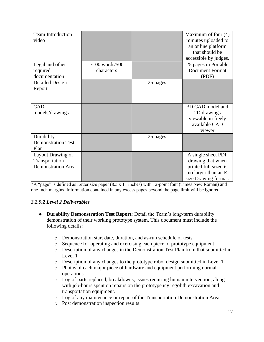| <b>Team Introduction</b><br>video                                |                                    |          | Maximum of four $(4)$<br>minutes uploaded to<br>an online platform<br>that should be<br>accessible by judges.   |
|------------------------------------------------------------------|------------------------------------|----------|-----------------------------------------------------------------------------------------------------------------|
| Legal and other<br>required<br>documentation                     | $\sim$ 100 words/500<br>characters |          | 25 pages in Portable<br><b>Document Format</b><br>(PDF)                                                         |
| <b>Detailed Design</b><br>Report                                 |                                    | 25 pages |                                                                                                                 |
| CAD<br>models/drawings                                           |                                    |          | 3D CAD model and<br>2D drawings<br>viewable in freely<br>available CAD<br>viewer                                |
| Durability<br><b>Demonstration Test</b><br>Plan                  |                                    | 25 pages |                                                                                                                 |
| Layout Drawing of<br>Transportation<br><b>Demonstration Area</b> |                                    |          | A single sheet PDF<br>drawing that when<br>printed full sized is<br>no larger than an E<br>size Drawing format. |

 $*A$  "page" is defined as Letter size paper (8.5 x 11 inches) with 12-point font (Times New Roman) and one-inch margins. Information contained in any excess pages beyond the page limit will be ignored.

#### <span id="page-16-0"></span>*3.2.9.2 Level 2 Deliverables*

- **Durability Demonstration Test Report**: Detail the Team's long-term durability demonstration of their working prototype system. This document must include the following details:
	- o Demonstration start date, duration, and as-run schedule of tests
	- o Sequence for operating and exercising each piece of prototype equipment
	- o Description of any changes in the Demonstration Test Plan from that submitted in Level 1
	- o Description of any changes to the prototype robot design submitted in Level 1.
	- o Photos of each major piece of hardware and equipment performing normal operations
	- o Log of parts replaced, breakdowns, issues requiring human intervention, along with job-hours spent on repairs on the prototype icy regolith excavation and transportation equipment.
	- o Log of any maintenance or repair of the Transportation Demonstration Area
	- o Post demonstration inspection results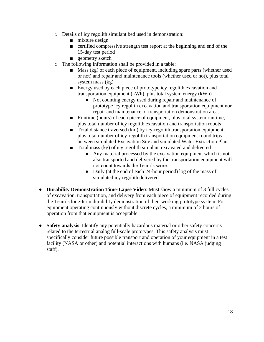- o Details of icy regolith simulant bed used in demonstration:
	- mixture design
	- certified compressive strength test report at the beginning and end of the 15-day test period
	- geometry sketch
- o The following information shall be provided in a table:
	- Mass (kg) of each piece of equipment, including spare parts (whether used or not) and repair and maintenance tools (whether used or not), plus total system mass (kg)
	- Energy used by each piece of prototype icy regolith excavation and transportation equipment (kWh), plus total system energy (kWh)
		- Not counting energy used during repair and maintenance of prototype icy regolith excavation and transportation equipment nor repair and maintenance of transportation demonstration area.
	- Runtime (hours) of each piece of equipment, plus total system runtime, plus total number of icy regolith excavation and transportation robots
	- Total distance traversed (km) by icy-regolith transportation equipment, plus total number of icy-regolith transportation equipment round trips between simulated Excavation Site and simulated Water Extraction Plant
	- Total mass (kg) of icy regolith simulant excavated and delivered
		- Any material processed by the excavation equipment which is not also transported and delivered by the transportation equipment will not count towards the Team's score.
		- Daily (at the end of each 24-hour period) log of the mass of simulated icy regolith delivered
- **Durability Demonstration Time-Lapse Video**: Must show a minimum of 3 full cycles of excavation, transportation, and delivery from each piece of equipment recorded during the Team's long-term durability demonstration of their working prototype system. For equipment operating continuously without discrete cycles, a minimum of 2 hours of operation from that equipment is acceptable.
- **Safety analysis**: Identify any potentially hazardous material or other safety concerns related to the terrestrial analog full-scale prototypes. This safety analysis must specifically consider future possible transport and operation of your equipment in a test facility (NASA or other) and potential interactions with humans (i.e. NASA judging staff).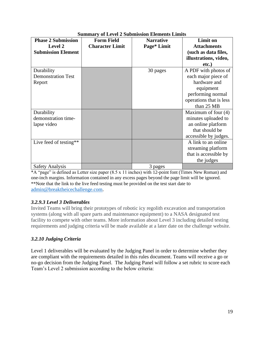| of $E_{\rm V}$ of $\mu$ bubilipolynt environts $E_{\rm I}$ |                        |                  |                         |  |
|------------------------------------------------------------|------------------------|------------------|-------------------------|--|
| <b>Phase 2 Submission</b>                                  | <b>Form Field</b>      | <b>Narrative</b> | <b>Limit on</b>         |  |
| <b>Level 2</b>                                             | <b>Character Limit</b> | Page* Limit      | <b>Attachments</b>      |  |
| <b>Submission Element</b>                                  |                        |                  | (such as data files,    |  |
|                                                            |                        |                  | illustrations, video,   |  |
|                                                            |                        |                  |                         |  |
|                                                            |                        |                  | etc.)                   |  |
| Durability                                                 |                        | 30 pages         | A PDF with photos of    |  |
| <b>Demonstration Test</b>                                  |                        |                  | each major piece of     |  |
| Report                                                     |                        |                  | hardware and            |  |
|                                                            |                        |                  | equipment               |  |
|                                                            |                        |                  | performing normal       |  |
|                                                            |                        |                  | operations that is less |  |
|                                                            |                        |                  | than 25 MB              |  |
| Durability                                                 |                        |                  | Maximum of four $(4)$   |  |
| demonstration time-                                        |                        |                  | minutes uploaded to     |  |
| lapse video                                                |                        |                  | an online platform      |  |
|                                                            |                        |                  | that should be          |  |
|                                                            |                        |                  | accessible by judges.   |  |
| Live feed of testing**                                     |                        |                  | A link to an online     |  |
|                                                            |                        |                  | streaming platform      |  |
|                                                            |                        |                  | that is accessible by   |  |
|                                                            |                        |                  | the judges              |  |
| <b>Safety Analysis</b>                                     |                        | 3 pages          |                         |  |

# **Summary of Level 2 Submission Elements Limits**

 $*A$  "page" is defined as Letter size paper (8.5 x 11 inches) with 12-point font (Times New Roman) and one-inch margins. Information contained in any excess pages beyond the page limit will be ignored. \*\*Note that the link to the live feed testing must be provided on the test start date to [admin@breaktheicechallenge.com.](mailto:admin@breaktheicechallenge.com)

# <span id="page-18-0"></span>*3.2.9.3 Level 3 Deliverables*

Invited Teams will bring their prototypes of robotic icy regolith excavation and transportation systems (along with all spare parts and maintenance equipment) to a NASA designated test facility to compete with other teams. More information about Level 3 including detailed testing requirements and judging criteria will be made available at a later date on the challenge website.

# <span id="page-18-1"></span>*3.2.10 Judging Criteria*

Level 1 deliverables will be evaluated by the Judging Panel in order to determine whether they are compliant with the requirements detailed in this rules document. Teams will receive a go or no-go decision from the Judging Panel. The Judging Panel will follow a set rubric to score each Team's Level 2 submission according to the below criteria: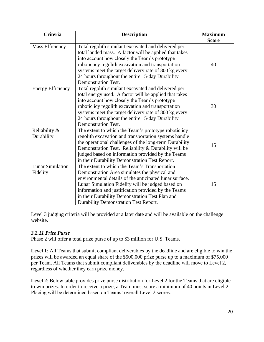| <b>Criteria</b>                     | <b>Description</b>                                                                                                                                                                                                                                                                                                                                                | <b>Maximum</b><br><b>Score</b> |
|-------------------------------------|-------------------------------------------------------------------------------------------------------------------------------------------------------------------------------------------------------------------------------------------------------------------------------------------------------------------------------------------------------------------|--------------------------------|
| Mass Efficiency                     | Total regolith simulant excavated and delivered per<br>total landed mass. A factor will be applied that takes<br>into account how closely the Team's prototype<br>robotic icy regolith excavation and transportation<br>systems meet the target delivery rate of 800 kg every<br>24 hours throughout the entire 15-day Durability<br><b>Demonstration Test.</b>   | 40                             |
| <b>Energy Efficiency</b>            | Total regolith simulant excavated and delivered per<br>total energy used. A factor will be applied that takes<br>into account how closely the Team's prototype<br>robotic icy regolith excavation and transportation<br>systems meet the target delivery rate of 800 kg every<br>24 hours throughout the entire 15-day Durability<br><b>Demonstration Test.</b>   | 30                             |
| Reliability &<br>Durability         | The extent to which the Team's prototype robotic icy<br>regolith excavation and transportation systems handle<br>the operational challenges of the long-term Durability<br>Demonstration Test. Reliability & Durability will be<br>judged based on information provided by the Teams<br>in their Durability Demonstration Test Report.                            | 15                             |
| <b>Lunar Simulation</b><br>Fidelity | The extent to which the Team's Transportation<br>Demonstration Area simulates the physical and<br>environmental details of the anticipated lunar surface.<br>Lunar Simulation Fidelity will be judged based on<br>information and justification provided by the Teams<br>in their Durability Demonstration Test Plan and<br>Durability Demonstration Test Report. | 15                             |

Level 3 judging criteria will be provided at a later date and will be available on the challenge website.

# <span id="page-19-0"></span>*3.2.11 Prize Purse*

Phase 2 will offer a total prize purse of up to \$3 million for U.S. Teams.

**Level 1**: All Teams that submit compliant deliverables by the deadline and are eligible to win the prizes will be awarded an equal share of the \$500,000 prize purse up to a maximum of \$75,000 per Team. All Teams that submit compliant deliverables by the deadline will move to Level 2, regardless of whether they earn prize money.

**Level 2**: Below table provides prize purse distribution for Level 2 for the Teams that are eligible to win prizes. In order to receive a prize, a Team must score a minimum of 40 points in Level 2. Placing will be determined based on Teams' overall Level 2 scores.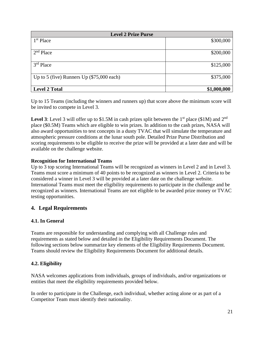| <b>Level 2 Prize Purse</b>                  |             |  |
|---------------------------------------------|-------------|--|
| 1 <sup>st</sup> Place                       | \$300,000   |  |
| $2nd$ Place                                 | \$200,000   |  |
| $3rd$ Place                                 | \$125,000   |  |
| Up to 5 (five) Runners Up $(\$75,000$ each) | \$375,000   |  |
| <b>Level 2 Total</b>                        | \$1,000,000 |  |

Up to 15 Teams (including the winners and runners up) that score above the minimum score will be invited to compete in Level 3.

**Level 3**: Level 3 will offer up to \$1.5M in cash prizes split between the 1<sup>st</sup> place (\$1M) and  $2<sup>nd</sup>$ place (\$0.5M) Teams which are eligible to win prizes. In addition to the cash prizes, NASA will also award opportunities to test concepts in a dusty TVAC that will simulate the temperature and atmospheric pressure conditions at the lunar south pole. Detailed Prize Purse Distribution and scoring requirements to be eligible to receive the prize will be provided at a later date and will be available on the challenge website.

#### **Recognition for International Teams**

Up to 3 top scoring International Teams will be recognized as winners in Level 2 and in Level 3. Teams must score a minimum of 40 points to be recognized as winners in Level 2. Criteria to be considered a winner in Level 3 will be provided at a later date on the challenge website. International Teams must meet the eligibility requirements to participate in the challenge and be recognized as winners. International Teams are not eligible to be awarded prize money or TVAC testing opportunities.

# <span id="page-20-0"></span>**4. Legal Requirements**

# <span id="page-20-1"></span>**4.1. In General**

Teams are responsible for understanding and complying with all Challenge rules and requirements as stated below and detailed in the Eligibility Requirements Document. The following sections below summarize key elements of the Eligibility Requirements Document. Teams should review the Eligibility Requirements Document for additional details.

# <span id="page-20-2"></span>**4.2. Eligibility**

NASA welcomes applications from individuals, groups of individuals, and/or organizations or entities that meet the eligibility requirements provided below.

In order to participate in the Challenge, each individual, whether acting alone or as part of a Competitor Team must identify their nationality.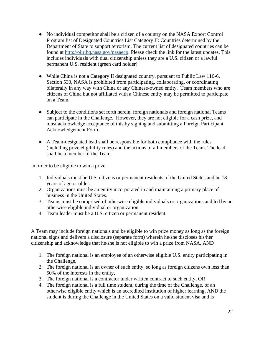- No individual competitor shall be a citizen of a country on the NASA Export Control Program list of Designated Countries List Category II: Countries determined by the Department of State to support terrorism. The current list of designated countries can be found at [http://oiir.hq.nasa.gov/nasaecp.](about:blank) Please check the link for the latest updates. This includes individuals with dual citizenship unless they are a U.S. citizen or a lawful permanent U.S. resident (green card holder).
- While China is not a Category II designated country, pursuant to Public Law 116-6, Section 530, NASA is prohibited from participating, collaborating, or coordinating bilaterally in any way with China or any Chinese-owned entity. Team members who are citizens of China but not affiliated with a Chinese entity may be permitted to participate on a Team.
- Subject to the conditions set forth herein, foreign nationals and foreign national Teams can participate in the Challenge. However, they are not eligible for a cash prize, and must acknowledge acceptance of this by signing and submitting a Foreign Participant Acknowledgement Form.
- A Team-designated lead shall be responsible for both compliance with the rules (including prize eligibility rules) and the actions of all members of the Team. The lead shall be a member of the Team.

In order to be eligible to win a prize:

- 1. Individuals must be U.S. citizens or permanent residents of the United States and be 18 years of age or older.
- 2. Organizations must be an entity incorporated in and maintaining a primary place of business in the United States.
- 3. Teams must be comprised of otherwise eligible individuals or organizations and led by an otherwise eligible individual or organization.
- 4. Team leader must be a U.S. citizen or permanent resident.

A Team may include foreign nationals and be eligible to win prize money as long as the foreign national signs and delivers a disclosure (separate form) wherein he/she discloses his/her citizenship and acknowledge that he/she is not eligible to win a prize from NASA, AND

- 1. The foreign national is an employee of an otherwise eligible U.S. entity participating in the Challenge,
- 2. The foreign national is an owner of such entity, so long as foreign citizens own less than 50% of the interests in the entity,
- 3. The foreign national is a contractor under written contract to such entity, OR
- 4. The foreign national is a full time student, during the time of the Challenge, of an otherwise eligible entity which is an accredited institution of higher learning, AND the student is during the Challenge in the United States on a valid student visa and is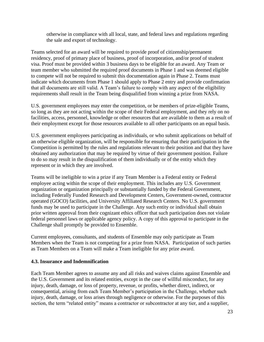otherwise in compliance with all local, state, and federal laws and regulations regarding the sale and export of technology.

Teams selected for an award will be required to provide proof of citizenship/permanent residency, proof of primary place of business, proof of incorporation, and/or proof of student visa. Proof must be provided within 3 business days to be eligible for an award. Any Team or team member who submitted the required proof documents in Phase 1 and was deemed eligible to compete will not be required to submit this documentation again in Phase 2. Teams must indicate which documents from Phase 1 should apply to Phase 2 entry and provide confirmation that all documents are still valid. A Team's failure to comply with any aspect of the eligibility requirements shall result in the Team being disqualified from winning a prize from NASA.

U.S. government employees may enter the competition, or be members of prize-eligible Teams, so long as they are not acting within the scope of their Federal employment, and they rely on no facilities, access, personnel, knowledge or other resources that are available to them as a result of their employment except for those resources available to all other participants on an equal basis.

U.S. government employees participating as individuals, or who submit applications on behalf of an otherwise eligible organization, will be responsible for ensuring that their participation in the Competition is permitted by the rules and regulations relevant to their position and that they have obtained any authorization that may be required by virtue of their government position. Failure to do so may result in the disqualification of them individually or of the entity which they represent or in which they are involved.

Teams will be ineligible to win a prize if any Team Member is a Federal entity or Federal employee acting within the scope of their employment. This includes any U.S. Government organization or organization principally or substantially funded by the Federal Government, including Federally Funded Research and Development Centers, Government-owned, contractor operated (GOCO) facilities, and University Affiliated Research Centers. No U.S. government funds may be used to participate in the Challenge. Any such entity or individual shall obtain prior written approval from their cognizant ethics officer that such participation does not violate federal personnel laws or applicable agency policy. A copy of this approval to participate in the Challenge shall promptly be provided to Ensemble.

Current employees, consultants, and students of Ensemble may only participate as Team Members when the Team is not competing for a prize from NASA. Participation of such parties as Team Members on a Team will make a Team ineligible for any prize award.

#### <span id="page-22-0"></span>**4.3. Insurance and Indemnification**

Each Team Member agrees to assume any and all risks and waives claims against Ensemble and the U.S. Government and its related entities, except in the case of willful misconduct, for any injury, death, damage, or loss of property, revenue, or profits, whether direct, indirect, or consequential, arising from each Team Member's participation in the Challenge, whether such injury, death, damage, or loss arises through negligence or otherwise. For the purposes of this section, the term "related entity" means a contractor or subcontractor at any tier, and a supplier,